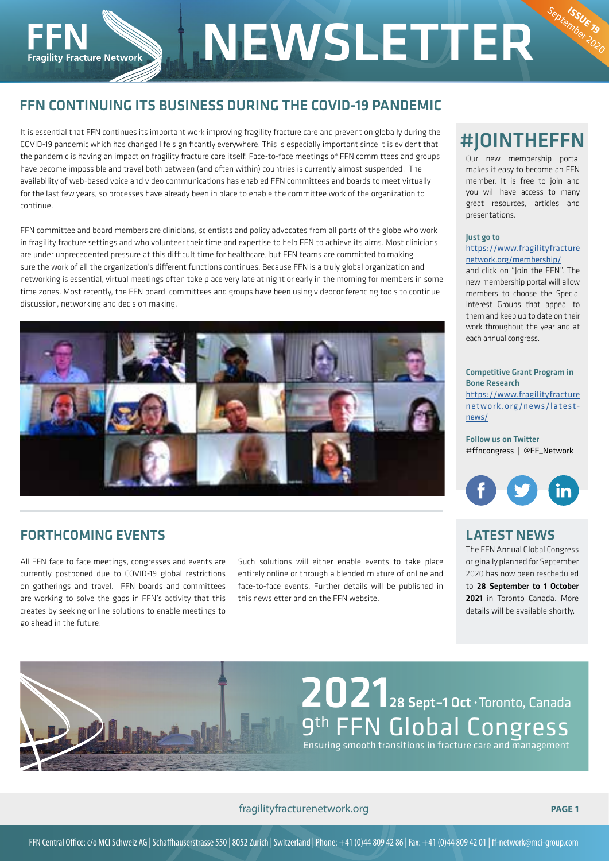# FFN CONTINUING ITS BUSINESS DURING THE COVID-19 PANDEMIC

It is essential that FFN continues its important work improving fragility fracture care and prevention globally during the COVID-19 pandemic which has changed life significantly everywhere. This is especially important since it is evident that the pandemic is having an impact on fragility fracture care itself. Face-to-face meetings of FFN committees and groups have become impossible and travel both between (and often within) countries is currently almost suspended. The availability of web-based voice and video communications has enabled FFN committees and boards to meet virtually for the last few years, so processes have already been in place to enable the committee work of the organization to continue.

FFN committee and board members are clinicians, scientists and policy advocates from all parts of the globe who work in fragility fracture settings and who volunteer their time and expertise to help FFN to achieve its aims. Most clinicians are under unprecedented pressure at this difficult time for healthcare, but FFN teams are committed to making sure the work of all the organization's different functions continues. Because FFN is a truly global organization and networking is essential, virtual meetings often take place very late at night or early in the morning for members in some time zones. Most recently, the FFN board, committees and groups have been using videoconferencing tools to continue discussion, networking and decision making.



#### FORTHCOMING EVENTS

**Fragility Fracture Network** 

All FFN face to face meetings, congresses and events are currently postponed due to COVID-19 global restrictions on gatherings and travel. FFN boards and committees are working to solve the gaps in FFN's activity that this creates by seeking online solutions to enable meetings to go ahead in the future.

Such solutions will either enable events to take place entirely online or through a blended mixture of online and face-to-face events. Further details will be published in this newsletter and on the FFN website.

**NEWSLETTER** 

# #JOINTHEFFN

September 19

Our new membership portal makes it easy to become an FFN member. It is free to join and you will have access to many great resources, articles and presentations.

#### Just go to

#### https://www.fragilityfracture network.org/membership/

and click on "Join the FFN". The new membership portal will allow members to choose the Special Interest Groups that appeal to them and keep up to date on their work throughout the year and at each annual congress.

Competitive Grant Program in Bone Research https://www.fragilityfracture network.org/news/latestnews/

Follow us on Twitter #ffncongress | @FF\_Network



#### LATEST NEWS

The FFN Annual Global Congress originally planned for September 2020 has now been rescheduled to 28 September to 1 October 2021 in Toronto Canada. More details will be available shortly.

# 9<sup>th</sup> FFN Global Congress Ensuring smooth transitions in fracture care and management 2021 28 Sept–1 Oct∙Toronto, Canada

fragilityfracturenetwork.org **PAGE 1**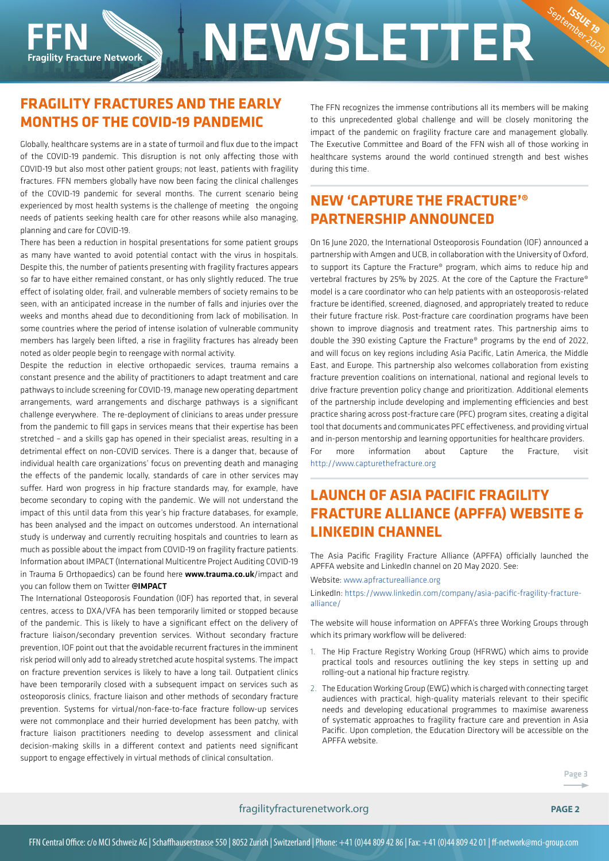# **INEWSLETTER Fragility Fracture Network**

## **FRAGILITY FRACTURES AND THE EARLY MONTHS OF THE COVID-19 PANDEMIC**

Globally, healthcare systems are in a state of turmoil and flux due to the impact of the COVID-19 pandemic. This disruption is not only affecting those with COVID-19 but also most other patient groups; not least, patients with fragility fractures. FFN members globally have now been facing the clinical challenges of the COVID-19 pandemic for several months. The current scenario being experienced by most health systems is the challenge of meeting the ongoing needs of patients seeking health care for other reasons while also managing, planning and care for COVID-19.

There has been a reduction in hospital presentations for some patient groups as many have wanted to avoid potential contact with the virus in hospitals. Despite this, the number of patients presenting with fragility fractures appears so far to have either remained constant, or has only slightly reduced. The true effect of isolating older, frail, and vulnerable members of society remains to be seen, with an anticipated increase in the number of falls and injuries over the weeks and months ahead due to deconditioning from lack of mobilisation. In some countries where the period of intense isolation of vulnerable community members has largely been lifted, a rise in fragility fractures has already been noted as older people begin to reengage with normal activity.

Despite the reduction in elective orthopaedic services, trauma remains a constant presence and the ability of practitioners to adapt treatment and care pathways to include screening for COVID-19, manage new operating department arrangements, ward arrangements and discharge pathways is a significant challenge everywhere. The re-deployment of clinicians to areas under pressure from the pandemic to fill gaps in services means that their expertise has been stretched – and a skills gap has opened in their specialist areas, resulting in a detrimental effect on non-COVID services. There is a danger that, because of individual health care organizations' focus on preventing death and managing the effects of the pandemic locally, standards of care in other services may suffer. Hard won progress in hip fracture standards may, for example, have become secondary to coping with the pandemic. We will not understand the impact of this until data from this year's hip fracture databases, for example, has been analysed and the impact on outcomes understood. An international study is underway and currently recruiting hospitals and countries to learn as much as possible about the impact from COVID-19 on fragility fracture patients. Information about IMPACT (International Multicentre Project Auditing COVID-19 in Trauma & Orthopaedics) can be found here www.trauma.co.uk/impact and you can follow them on Twitter @IMPACT

The International Osteoporosis Foundation (IOF) has reported that, in several centres, access to DXA/VFA has been temporarily limited or stopped because of the pandemic. This is likely to have a significant effect on the delivery of fracture liaison/secondary prevention services. Without secondary fracture prevention, IOF point out that the avoidable recurrent fractures in the imminent risk period will only add to already stretched acute hospital systems. The impact on fracture prevention services is likely to have a long tail. Outpatient clinics have been temporarily closed with a subsequent impact on services such as osteoporosis clinics, fracture liaison and other methods of secondary fracture prevention. Systems for virtual/non-face-to-face fracture follow-up services were not commonplace and their hurried development has been patchy, with fracture liaison practitioners needing to develop assessment and clinical decision-making skills in a different context and patients need significant support to engage effectively in virtual methods of clinical consultation.

The FFN recognizes the immense contributions all its members will be making to this unprecedented global challenge and will be closely monitoring the impact of the pandemic on fragility fracture care and management globally. The Executive Committee and Board of the FFN wish all of those working in healthcare systems around the world continued strength and best wishes during this time.

September 19

# **NEW 'CAPTURE THE FRACTURE'® PARTNERSHIP ANNOUNCED**

On 16 June 2020, the International Osteoporosis Foundation (IOF) announced a partnership with Amgen and UCB, in collaboration with the University of Oxford, to support its Capture the Fracture® program, which aims to reduce hip and vertebral fractures by 25% by 2025. At the core of the Capture the Fracture® model is a care coordinator who can help patients with an osteoporosis-related fracture be identified, screened, diagnosed, and appropriately treated to reduce their future fracture risk. Post-fracture care coordination programs have been shown to improve diagnosis and treatment rates. This partnership aims to double the 390 existing Capture the Fracture® programs by the end of 2022, and will focus on key regions including Asia Pacific, Latin America, the Middle East, and Europe. This partnership also welcomes collaboration from existing fracture prevention coalitions on international, national and regional levels to drive fracture prevention policy change and prioritization. Additional elements of the partnership include developing and implementing efficiencies and best practice sharing across post-fracture care (PFC) program sites, creating a digital tool that documents and communicates PFC effectiveness, and providing virtual and in-person mentorship and learning opportunities for healthcare providers. For more information about Capture the Fracture, visit http://www.capturethefracture.org

# **LAUNCH OF ASIA PACIFIC FRAGILITY FRACTURE ALLIANCE (APFFA) WEBSITE & LINKEDIN CHANNEL**

The Asia Pacific Fragility Fracture Alliance (APFFA) officially launched the APFFA website and LinkedIn channel on 20 May 2020. See:

Website: www.apfracturealliance.org

LinkedIn: https://www.linkedin.com/company/asia-pacific-fragility-fracturealliance/

The website will house information on APFFA's three Working Groups through which its primary workflow will be delivered.

- 1. The Hip Fracture Registry Working Group (HFRWG) which aims to provide practical tools and resources outlining the key steps in setting up and rolling-out a national hip fracture registry.
- 2. The Education Working Group (EWG) which is charged with connecting target audiences with practical, high-quality materials relevant to their specific needs and developing educational programmes to maximise awareness of systematic approaches to fragility fracture care and prevention in Asia Pacific. Upon completion, the Education Directory will be accessible on the APFFA website.

#### fragilityfracturenetwork.org **PAGE 2**